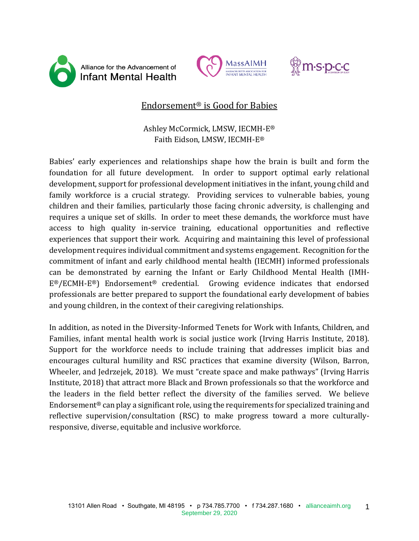





# Endorsement® is Good for Babies

## Ashley McCormick, LMSW, IECMH-E® Faith Eidson, LMSW, IECMH-E®

Babies' early experiences and relationships shape how the brain is built and form the foundation for all future development. In order to support optimal early relational development, support for professional development initiatives in the infant, young child and family workforce is a crucial strategy. Providing services to vulnerable babies, young children and their families, particularly those facing chronic adversity, is challenging and requires a unique set of skills. In order to meet these demands, the workforce must have access to high quality in-service training, educational opportunities and reflective experiences that support their work. Acquiring and maintaining this level of professional development requires individual commitment and systems engagement. Recognition for the commitment of infant and early childhood mental health (IECMH) informed professionals can be demonstrated by earning the Infant or Early Childhood Mental Health (IMH-E®/ECMH-E®) Endorsement® credential. Growing evidence indicates that endorsed professionals are better prepared to support the foundational early development of babies and young children, in the context of their caregiving relationships.

In addition, as noted in the Diversity-Informed Tenets for Work with Infants, Children, and Families, infant mental health work is social justice work (Irving Harris Institute, 2018). Support for the workforce needs to include training that addresses implicit bias and encourages cultural humility and RSC practices that examine diversity (Wilson, Barron, Wheeler, and Jedrzejek, 2018). We must "create space and make pathways" (Irving Harris Institute, 2018) that attract more Black and Brown professionals so that the workforce and the leaders in the field better reflect the diversity of the families served. We believe Endorsement<sup>®</sup> can play a significant role, using the requirements for specialized training and reflective supervision/consultation (RSC) to make progress toward a more culturallyresponsive, diverse, equitable and inclusive workforce.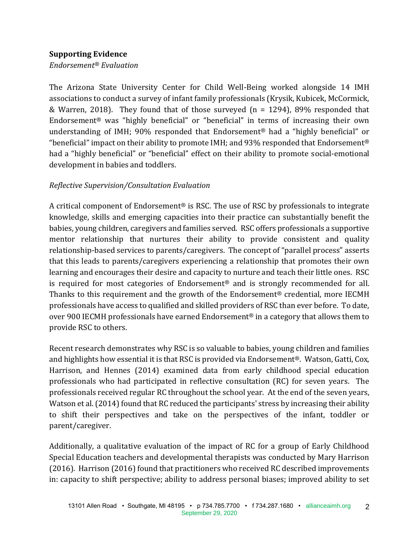#### **Supporting Evidence**

*Endorsement® Evaluation*

The Arizona State University Center for Child Well-Being worked alongside 14 IMH associations to conduct a survey of infant family professionals (Krysik, Kubicek, McCormick, & Warren, 2018). They found that of those surveyed ( $n = 1294$ ), 89% responded that Endorsement® was "highly beneficial" or "beneficial" in terms of increasing their own understanding of IMH; 90% responded that Endorsement® had a "highly beneficial" or "beneficial" impact on their ability to promote IMH; and 93% responded that Endorsement<sup>®</sup> had a "highly beneficial" or "beneficial" effect on their ability to promote social-emotional development in babies and toddlers.

### *Reflective Supervision/Consultation Evaluation*

A critical component of Endorsement® is RSC. The use of RSC by professionals to integrate knowledge, skills and emerging capacities into their practice can substantially benefit the babies, young children, caregivers and families served. RSC offers professionals a supportive mentor relationship that nurtures their ability to provide consistent and quality relationship-based services to parents/caregivers. The concept of "parallel process" asserts that this leads to parents/caregivers experiencing a relationship that promotes their own learning and encourages their desire and capacity to nurture and teach their little ones. RSC is required for most categories of Endorsement® and is strongly recommended for all. Thanks to this requirement and the growth of the Endorsement® credential, more IECMH professionals have access to qualified and skilled providers of RSC than ever before. To date, over 900 IECMH professionals have earned Endorsement<sup>®</sup> in a category that allows them to provide RSC to others.

Recent research demonstrates why RSC is so valuable to babies, young children and families and highlights how essential it is that RSC is provided via Endorsement®. Watson, Gatti, Cox, Harrison, and Hennes (2014) examined data from early childhood special education professionals who had participated in reflective consultation (RC) for seven years. The professionals received regular RC throughout the school year. At the end of the seven years, Watson et al. (2014) found that RC reduced the participants' stress by increasing their ability to shift their perspectives and take on the perspectives of the infant, toddler or parent/caregiver.

Additionally, a qualitative evaluation of the impact of RC for a group of Early Childhood Special Education teachers and developmental therapists was conducted by Mary Harrison (2016). Harrison (2016) found that practitioners who received RC described improvements in: capacity to shift perspective; ability to address personal biases; improved ability to set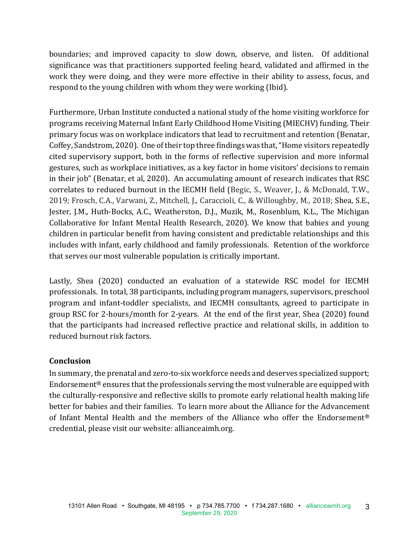boundaries; and improved capacity to slow down, observe, and listen. Of additional significance was that practitioners supported feeling heard, validated and affirmed in the work they were doing, and they were more effective in their ability to assess, focus, and respond to the young children with whom they were working (Ibid).

Furthermore, Urban Institute conducted a national study of the home visiting workforce for programs receiving Maternal Infant Early Childhood Home Visiting (MIECHV) funding. Their primary focus was on workplace indicators that lead to recruitment and retention (Benatar, Coffey, Sandstrom, 2020). One of their top three findings was that, "Home visitors repeatedly cited supervisory support, both in the forms of reflective supervision and more informal gestures, such as workplace initiatives, as a key factor in home visitors' decisions to remain in their job" (Benatar, et al, 2020). An accumulating amount of research indicates that RSC correlates to reduced burnout in the IECMH field (Begic, S., Weaver, J., & McDonald, T.W., 2019; Frosch, C.A., Varwani, Z., Mitchell, J., Caraccioli, C., & Willoughby, M., 2018; Shea, S.E., Jester, J.M., Huth-Bocks, A.C., Weatherston, D.J., Muzik, M., Rosenblum, K.L., The Michigan Collaborative for Infant Mental Health Research, 2020). We know that babies and young children in particular benefit from having consistent and predictable relationships and this includes with infant, early childhood and family professionals. Retention of the workforce that serves our most vulnerable population is critically important.

Lastly, Shea (2020) conducted an evaluation of a statewide RSC model for IECMH professionals. In total, 38 participants, including program managers, supervisors, preschool program and infant-toddler specialists, and IECMH consultants, agreed to participate in group RSC for 2-hours/month for 2-years. At the end of the first year, Shea (2020) found that the participants had increased reflective practice and relational skills, in addition to reduced burnout risk factors.

#### **Conclusion**

In summary, the prenatal and zero-to-six workforce needs and deserves specialized support; Endorsement® ensures that the professionals serving the most vulnerable are equipped with the culturally-responsive and reflective skills to promote early relational health making life better for babies and their families. To learn more about the Alliance for the Advancement of Infant Mental Health and the members of the Alliance who offer the Endorsement® credential, please visit our website: allianceaimh.org.